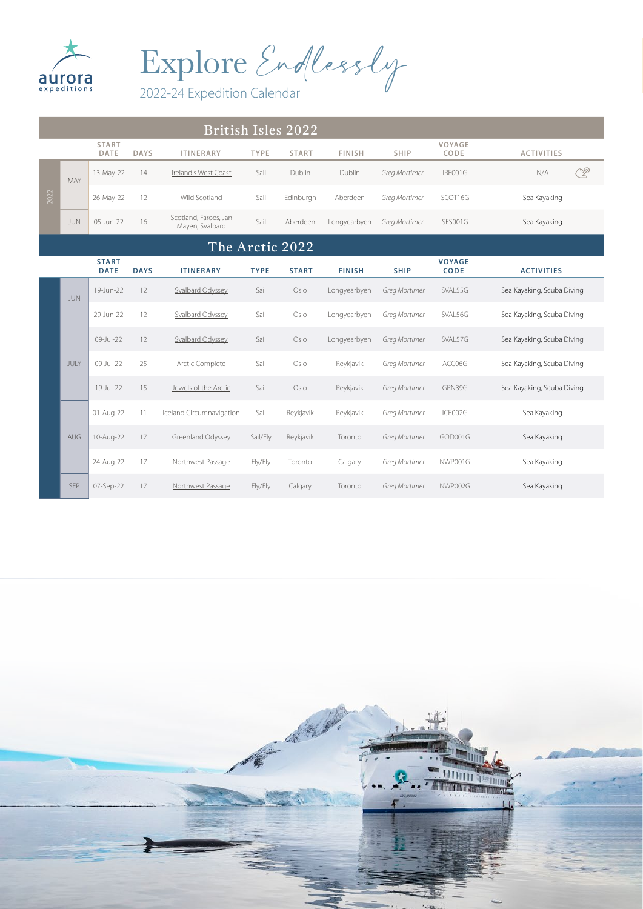

Explore Endlessly

|      | British Isles 2022 |                             |             |                                          |             |              |               |               |                              |                            |  |
|------|--------------------|-----------------------------|-------------|------------------------------------------|-------------|--------------|---------------|---------------|------------------------------|----------------------------|--|
|      |                    | <b>START</b><br>DATE        | <b>DAYS</b> | <b>ITINERARY</b>                         | <b>TYPE</b> | <b>START</b> | <b>FINISH</b> | <b>SHIP</b>   | VOYAGE<br>CODE               | <b>ACTIVITIES</b>          |  |
|      | MAY                | 13-May-22                   | 14          | Ireland's West Coast                     | Sail        | Dublin       | Dublin        | Greg Mortimer | IRE001G                      | <u>R</u><br>N/A            |  |
| 2022 |                    | 26-May-22                   | 12          | Wild Scotland                            | Sail        | Edinburgh    | Aberdeen      | Greg Mortimer | SCOT16G                      | Sea Kayaking               |  |
|      | JUN                | 05-Jun-22                   | 16          | Scotland, Faroes, Jan<br>Mayen, Svalbard | Sail        | Aberdeen     | Longyearbyen  | Greg Mortimer | <b>SFS001G</b>               | Sea Kayaking               |  |
|      |                    |                             |             | The Arctic 2022                          |             |              |               |               |                              |                            |  |
|      |                    | <b>START</b><br><b>DATE</b> | <b>DAYS</b> | <b>ITINERARY</b>                         | <b>TYPE</b> | <b>START</b> | <b>FINISH</b> | <b>SHIP</b>   | <b>VOYAGE</b><br><b>CODE</b> | <b>ACTIVITIES</b>          |  |
|      | <b>JUN</b>         | 19-Jun-22                   | 12          | Svalbard Odyssey                         | Sail        | Oslo         | Longyearbyen  | Greg Mortimer | SVAL55G                      | Sea Kayaking, Scuba Diving |  |
|      |                    | 29-Jun-22                   | 12          | Svalbard Odyssey                         | Sail        | Oslo         | Longyearbyen  | Greg Mortimer | SVAL56G                      | Sea Kayaking, Scuba Diving |  |
|      |                    | 09-Jul-22                   | 12          | Svalbard Odyssey                         | Sail        | Oslo         | Longyearbyen  | Greg Mortimer | SVAL57G                      | Sea Kayaking, Scuba Diving |  |
|      | JULY               | 09-Jul-22                   | 25          | Arctic Complete                          | Sail        | Oslo         | Reykjavik     | Greg Mortimer | ACC06G                       | Sea Kayaking, Scuba Diving |  |
|      |                    | 19-Jul-22                   | 15          | Jewels of the Arctic                     | Sail        | Oslo         | Reykjavik     | Greg Mortimer | GRN39G                       | Sea Kayaking, Scuba Diving |  |
|      |                    | 01-Aug-22                   | 11          | Iceland Circumnavigation                 | Sail        | Reykjavik    | Reykjavik     | Greg Mortimer | ICE002G                      | Sea Kayaking               |  |
|      | AUG                | 10-Aug-22                   | 17          | Greenland Odyssey                        | Sail/Fly    | Reykjavik    | Toronto       | Greg Mortimer | GOD001G                      | Sea Kayaking               |  |
|      |                    | 24-Aug-22                   | 17          | Northwest Passage                        | Fly/Fly     | Toronto      | Calgary       | Greg Mortimer | NWP001G                      | Sea Kayaking               |  |
|      | <b>SEP</b>         | 07-Sep-22                   | 17          | Northwest Passage                        | Fly/Fly     | Calgary      | Toronto       | Greg Mortimer | NWP002G                      | Sea Kayaking               |  |

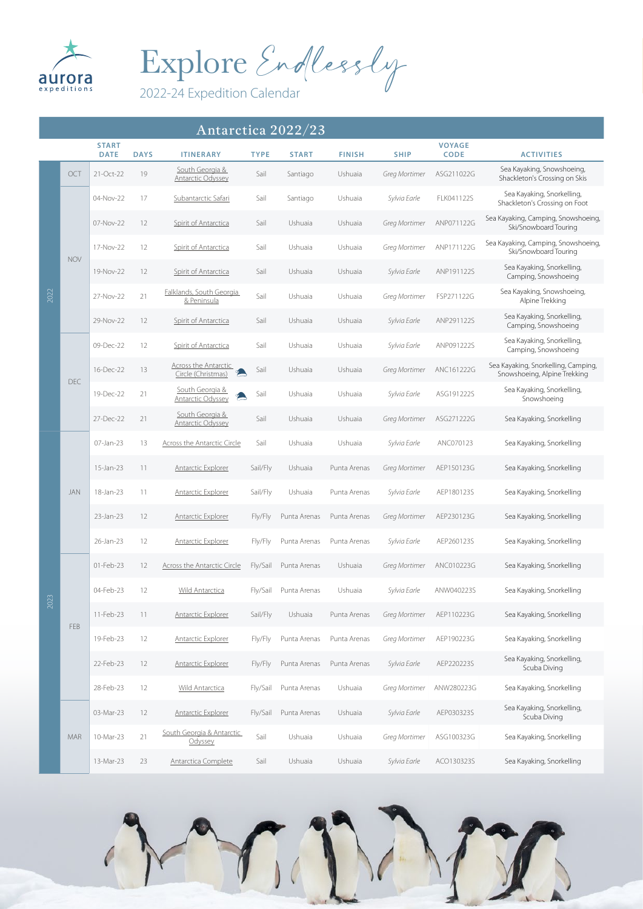

Explore Endlessly

## Antarctica 2022/23

|      |            | <b>START</b><br><b>DATE</b> | <b>DAYS</b> | <b>ITINERARY</b>                                  | <b>TYPE</b> | <b>START</b> | <b>FINISH</b> | <b>SHIP</b>   | <b>VOYAGE</b><br><b>CODE</b> | <b>ACTIVITIES</b>                                                   |
|------|------------|-----------------------------|-------------|---------------------------------------------------|-------------|--------------|---------------|---------------|------------------------------|---------------------------------------------------------------------|
|      | OCT        | 21-Oct-22                   | 19          | South Georgia &<br><b>Antarctic Odyssey</b>       | Sail        | Santiago     | Ushuaia       | Greg Mortimer | ASG211022G                   | Sea Kayaking, Snowshoeing,<br>Shackleton's Crossing on Skis         |
|      |            | 04-Nov-22                   | 17          | Subantarctic Safari                               | Sail        | Santiago     | Ushuaia       | Sylvia Earle  | FLK041122S                   | Sea Kayaking, Snorkelling,<br>Shackleton's Crossing on Foot         |
|      |            | 07-Nov-22                   | 12          | Spirit of Antarctica                              | Sail        | Ushuaia      | Ushuaia       | Greg Mortimer | ANP071122G                   | Sea Kayaking, Camping, Snowshoeing,<br>Ski/Snowboard Touring        |
|      | <b>NOV</b> | 17-Nov-22                   | 12          | Spirit of Antarctica                              | Sail        | Ushuaia      | Ushuaia       | Greg Mortimer | ANP171122G                   | Sea Kayaking, Camping, Snowshoeing,<br>Ski/Snowboard Touring        |
|      |            | 19-Nov-22                   | 12          | Spirit of Antarctica                              | Sail        | Ushuaia      | Ushuaia       | Sylvia Earle  | ANP191122S                   | Sea Kayaking, Snorkelling,<br>Camping, Snowshoeing                  |
| 2022 |            | 27-Nov-22                   | 21          | Falklands, South Georgia<br>& Peninsula           | Sail        | Ushuaia      | Ushuaia       | Greg Mortimer | FSP271122G                   | Sea Kayaking, Snowshoeing,<br>Alpine Trekking                       |
|      |            | 29-Nov-22                   | 12          | Spirit of Antarctica                              | Sail        | Ushuaia      | Ushuaia       | Sylvia Earle  | ANP291122S                   | Sea Kayaking, Snorkelling,<br>Camping, Snowshoeing                  |
|      |            | 09-Dec-22                   | 12          | Spirit of Antarctica                              | Sail        | Ushuaia      | Ushuaia       | Sylvia Earle  | ANP091222S                   | Sea Kayaking, Snorkelling,<br>Camping, Snowshoeing                  |
|      | DEC        | 16-Dec-22                   | 13          | <b>Across the Antarctic</b><br>Circle (Christmas) | Sail        | Ushuaia      | Ushuaia       | Greg Mortimer | ANC161222G                   | Sea Kayaking, Snorkelling, Camping,<br>Snowshoeing, Alpine Trekking |
|      |            | 19-Dec-22                   | 21          | South Georgia &<br>Antarctic Odyssey              | Sail        | Ushuaia      | Ushuaia       | Sylvia Earle  | ASG191222S                   | Sea Kayaking, Snorkelling,<br>Snowshoeing                           |
|      |            | 27-Dec-22                   | 21          | South Georgia &<br><b>Antarctic Odyssey</b>       | Sail        | Ushuaia      | Ushuaia       | Greg Mortimer | ASG271222G                   | Sea Kayaking, Snorkelling                                           |
|      |            | 07-Jan-23                   | 13          | <b>Across the Antarctic Circle</b>                | Sail        | Ushuaia      | Ushuaia       | Sylvia Earle  | ANC070123                    | Sea Kayaking, Snorkelling                                           |
|      |            | 15-Jan-23                   | 11          | <b>Antarctic Explorer</b>                         | Sail/Fly    | Ushuaia      | Punta Arenas  | Greg Mortimer | AEP150123G                   | Sea Kayaking, Snorkelling                                           |
|      | <b>JAN</b> | 18-Jan-23                   | 11          | Antarctic Explorer                                | Sail/Fly    | Ushuaia      | Punta Arenas  | Sylvia Earle  | AEP180123S                   | Sea Kayaking, Snorkelling                                           |
|      |            | 23-Jan-23                   | 12          | <b>Antarctic Explorer</b>                         | Fly/Fly     | Punta Arenas | Punta Arenas  | Greg Mortimer | AEP230123G                   | Sea Kayaking, Snorkelling                                           |
|      |            | 26-Jan-23                   | 12          | <b>Antarctic Explorer</b>                         | Fly/Fly     | Punta Arenas | Punta Arenas  | Sylvia Earle  | AEP260123S                   | Sea Kayaking, Snorkelling                                           |
|      |            | 01-Feb-23                   | 12          | Across the Antarctic Circle                       | Fly/Sail    | Punta Arenas | Ushuaia       | Greg Mortimer | ANC010223G                   | Sea Kayaking, Snorkelling                                           |
| 2023 |            | 04-Feb-23                   | 12          | <b>Wild Antarctica</b>                            | Fly/Sail    | Punta Arenas | Ushuaia       | Sylvia Earle  | ANW040223S                   | Sea Kayaking, Snorkelling                                           |
|      | FEB        | 11-Feb-23                   | 11          | <b>Antarctic Explorer</b>                         | Sail/Fly    | Ushuaia      | Punta Arenas  | Greg Mortimer | AEP110223G                   | Sea Kayaking, Snorkelling                                           |
|      |            | 19-Feb-23                   | 12          | <b>Antarctic Explorer</b>                         | Fly/Fly     | Punta Arenas | Punta Arenas  | Greg Mortimer | AEP190223G                   | Sea Kayaking, Snorkelling                                           |
|      |            | 22-Feb-23                   | 12          | <b>Antarctic Explorer</b>                         | Fly/Fly     | Punta Arenas | Punta Arenas  | Sylvia Earle  | AEP220223S                   | Sea Kayaking, Snorkelling,<br>Scuba Diving                          |
|      |            | 28-Feb-23                   | 12          | <b>Wild Antarctica</b>                            | Fly/Sail    | Punta Arenas | Ushuaia       | Greg Mortimer | ANW280223G                   | Sea Kayaking, Snorkelling                                           |
|      |            | 03-Mar-23                   | 12          | <b>Antarctic Explorer</b>                         | Fly/Sail    | Punta Arenas | Ushuaia       | Sylvia Earle  | AEP030323S                   | Sea Kayaking, Snorkelling,<br>Scuba Diving                          |
|      | <b>MAR</b> | 10-Mar-23                   | 21          | South Georgia & Antarctic<br>Odyssey              | Sail        | Ushuaia      | Ushuaia       | Greg Mortimer | ASG100323G                   | Sea Kayaking, Snorkelling                                           |
|      |            | 13-Mar-23                   | 23          | Antarctica Complete                               | Sail        | Ushuaia      | Ushuaia       | Sylvia Earle  | ACO130323S                   | Sea Kayaking, Snorkelling                                           |

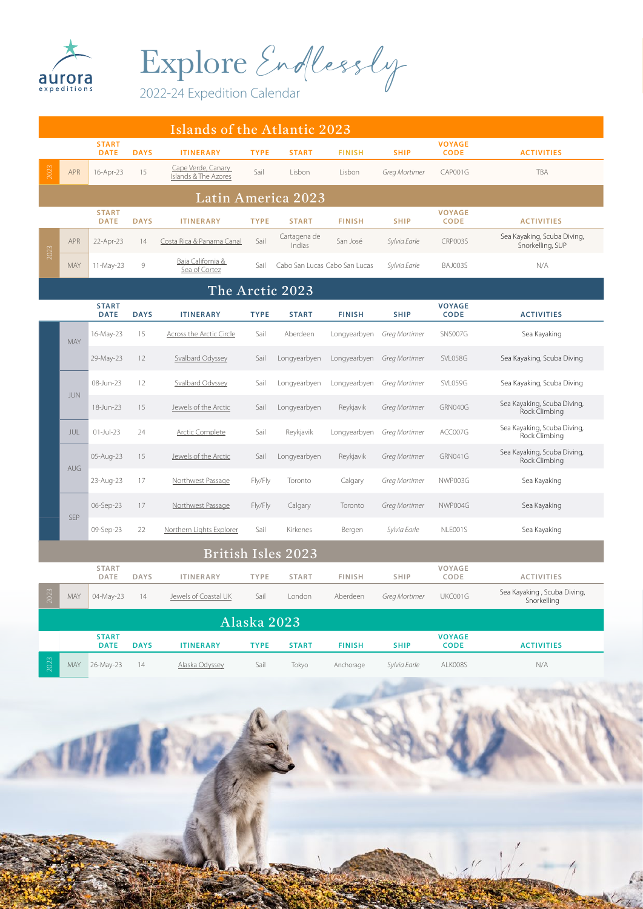

Explore Endlessly

|               | Islands of the Atlantic 2023 |                             |             |                                            |             |                               |               |               |                              |                                                 |  |
|---------------|------------------------------|-----------------------------|-------------|--------------------------------------------|-------------|-------------------------------|---------------|---------------|------------------------------|-------------------------------------------------|--|
|               |                              | <b>START</b><br><b>DATE</b> | <b>DAYS</b> | <b>ITINERARY</b>                           | <b>TYPE</b> | <b>START</b>                  | <b>FINISH</b> | <b>SHIP</b>   | <b>VOYAGE</b><br><b>CODE</b> | <b>ACTIVITIES</b>                               |  |
| 2023          | <b>APR</b>                   | 16-Apr-23                   | 15          | Cape Verde, Canary<br>Islands & The Azores | Sail        | Lisbon                        | Lisbon        | Greg Mortimer | CAP001G                      | TBA                                             |  |
|               |                              |                             |             |                                            |             | Latin America 2023            |               |               |                              |                                                 |  |
|               |                              | <b>START</b><br><b>DATE</b> | <b>DAYS</b> | <b>ITINERARY</b>                           | <b>TYPE</b> | <b>START</b>                  | <b>FINISH</b> | <b>SHIP</b>   | <b>VOYAGE</b><br><b>CODE</b> | <b>ACTIVITIES</b>                               |  |
|               | APR                          | 22-Apr-23                   | 14          | Costa Rica & Panama Canal                  | Sail        | Cartagena de<br>Indias        | San José      | Sylvia Earle  | CRP003S                      | Sea Kayaking, Scuba Diving,<br>Snorkelling, SUP |  |
| 2023          | MAY                          | 11-May-23                   | 9           | Baja California &<br>Sea of Cortez         | Sail        | Cabo San Lucas Cabo San Lucas |               | Sylvia Earle  | BAJ003S                      | N/A                                             |  |
|               |                              |                             |             |                                            |             | The Arctic 2023               |               |               |                              |                                                 |  |
|               |                              | <b>START</b><br><b>DATE</b> | <b>DAYS</b> | <b>ITINERARY</b>                           | <b>TYPE</b> | <b>START</b>                  | <b>FINISH</b> | <b>SHIP</b>   | <b>VOYAGE</b><br><b>CODE</b> | <b>ACTIVITIES</b>                               |  |
|               | MAY                          | 16-May-23                   | 15          | <b>Across the Arctic Circle</b>            | Sail        | Aberdeen                      | Longyearbyen  | Greg Mortimer | SNS007G                      | Sea Kayaking                                    |  |
|               |                              | 29-May-23                   | 12          | Svalbard Odyssey                           | Sail        | Longyearbyen                  | Longyearbyen  | Greg Mortimer | SVL058G                      | Sea Kayaking, Scuba Diving                      |  |
|               | <b>JUN</b>                   | 08-Jun-23                   | 12          | <b>Svalbard Odyssey</b>                    | Sail        | Longyearbyen                  | Longyearbyen  | Greg Mortimer | SVL059G                      | Sea Kayaking, Scuba Diving                      |  |
|               |                              | 18-Jun-23                   | 15          | Jewels of the Arctic                       | Sail        | Longyearbyen                  | Reykjavik     | Greg Mortimer | GRN040G                      | Sea Kayaking, Scuba Diving,<br>Rock Climbing    |  |
|               | JUL                          | $01$ -Jul-23                | 24          | <b>Arctic Complete</b>                     | Sail        | Reykjavik                     | Longyearbyen  | Greg Mortimer | ACC007G                      | Sea Kayaking, Scuba Diving,<br>Rock Climbing    |  |
|               | AUG                          | 05-Aug-23                   | 15          | Jewels of the Arctic                       | Sail        | Longyearbyen                  | Reykjavik     | Greg Mortimer | GRN041G                      | Sea Kayaking, Scuba Diving,<br>Rock Climbing    |  |
|               |                              | 23-Aug-23                   | 17          | Northwest Passage                          | Fly/Fly     | Toronto                       | Calgary       | Greg Mortimer | NWP003G                      | Sea Kayaking                                    |  |
|               | <b>SEP</b>                   | 06-Sep-23                   | 17          | Northwest Passage                          | Fly/Fly     | Calgary                       | Toronto       | Greg Mortimer | NWP004G                      | Sea Kayaking                                    |  |
|               |                              | 09-Sep-23                   | 22          | Northern Lights Explorer                   | Sail        | Kirkenes                      | Bergen        | Sylvia Earle  | NLE001S                      | Sea Kayaking                                    |  |
|               |                              |                             |             |                                            |             | British Isles 2023            |               |               |                              |                                                 |  |
|               |                              | <b>START</b><br>DATE        | <b>DAYS</b> | <b>ITINERARY</b>                           | <b>TYPE</b> | <b>START</b>                  | <b>FINISH</b> | <b>SHIP</b>   | VOYAGE<br>CODE               | <b>ACTIVITIES</b>                               |  |
| 023<br>$\sim$ | MAY                          | 04-May-23                   | 14          | Jewels of Coastal UK                       | Sail        | London                        | Aberdeen      | Greg Mortimer | UKC001G                      | Sea Kayaking, Scuba Diving,<br>Snorkelling      |  |
|               |                              |                             |             |                                            |             | Alaska 2023                   |               |               |                              |                                                 |  |
|               |                              | <b>START</b><br><b>DATE</b> | <b>DAYS</b> | <b>ITINERARY</b>                           | <b>TYPE</b> | <b>START</b>                  | <b>FINISH</b> | <b>SHIP</b>   | <b>VOYAGE</b><br><b>CODE</b> | <b>ACTIVITIES</b>                               |  |
| 2023          | <b>MAY</b>                   | 26-May-23                   | 14          | Alaska Odyssey                             | Sail        | Tokyo                         | Anchorage     | Sylvia Earle  | ALK008S                      | N/A                                             |  |
|               |                              |                             |             |                                            |             |                               |               |               |                              |                                                 |  |

 $\bigwedge$